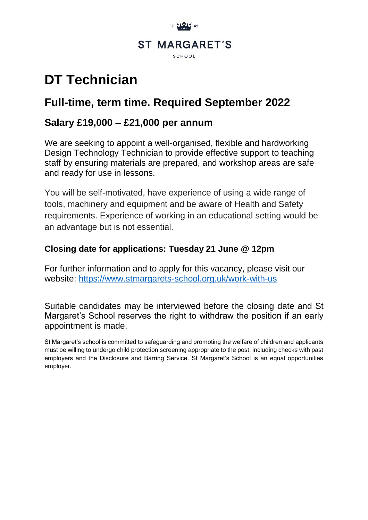

# **DT Technician**

# **Full-time, term time. Required September 2022**

# **Salary £19,000 – £21,000 per annum**

We are seeking to appoint a well-organised, flexible and hardworking Design Technology Technician to provide effective support to teaching staff by ensuring materials are prepared, and workshop areas are safe and ready for use in lessons.

You will be self-motivated, have experience of using a wide range of tools, machinery and equipment and be aware of Health and Safety requirements. Experience of working in an educational setting would be an advantage but is not essential.

### **Closing date for applications: Tuesday 21 June @ 12pm**

For further information and to apply for this vacancy, please visit our website:<https://www.stmargarets-school.org.uk/work-with-us>

Suitable candidates may be interviewed before the closing date and St Margaret's School reserves the right to withdraw the position if an early appointment is made.

St Margaret's school is committed to safeguarding and promoting the welfare of children and applicants must be willing to undergo child protection screening appropriate to the post, including checks with past employers and the Disclosure and Barring Service. St Margaret's School is an equal opportunities employer.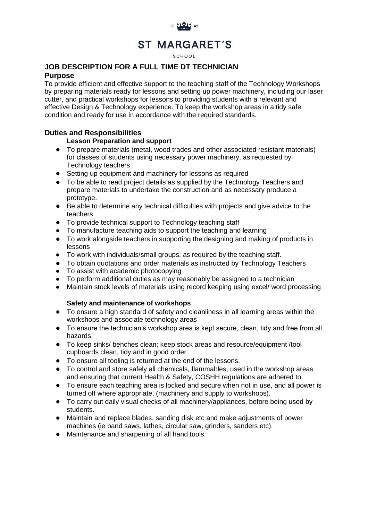

#### **SCHOOL**

#### **JOB DESCRIPTION FOR A FULL TIME DT TECHNICIAN Purpose**

To provide efficient and effective support to the teaching staff of the Technology Workshops by preparing materials ready for lessons and setting up power machinery, including our laser cutter, and practical workshops for lessons to providing students with a relevant and effective Design & Technology experience. To keep the workshop areas in a tidy safe condition and ready for use in accordance with the required standards.

#### **Duties and Responsibilities**

#### **Lesson Preparation and support**

- To prepare materials (metal, wood trades and other associated resistant materials) for classes of students using necessary power machinery, as requested by Technology teachers
- Setting up equipment and machinery for lessons as required
- To be able to read project details as supplied by the Technology Teachers and prepare materials to undertake the construction and as necessary produce a prototype.
- Be able to determine any technical difficulties with projects and give advice to the teachers
- To provide technical support to Technology teaching staff
- To manufacture teaching aids to support the teaching and learning
- To work alongside teachers in supporting the designing and making of products in lessons
- To work with individuals/small groups, as required by the teaching staff.
- To obtain quotations and order materials as instructed by Technology Teachers
- To assist with academic photocopying
- To perform additional duties as may reasonably be assigned to a technician<br>● Maintain stock levels of materials using record keeping using excel/ word pro
- Maintain stock levels of materials using record keeping using excel/ word processing

#### **Safety and maintenance of workshops**

- To ensure a high standard of safety and cleanliness in all learning areas within the workshops and associate technology areas
- To ensure the technician's workshop area is kept secure, clean, tidy and free from all hazards.
- To keep sinks/ benches clean; keep stock areas and resource/equipment /tool cupboards clean, tidy and in good order
- To ensure all tooling is returned at the end of the lessons.
- To control and store safely all chemicals, flammables, used in the workshop areas and ensuring that current Health & Safety, COSHH regulations are adhered to.
- To ensure each teaching area is locked and secure when not in use, and all power is turned off where appropriate, (machinery and supply to workshops).
- To carry out daily visual checks of all machinery/appliances, before being used by students.
- Maintain and replace blades, sanding disk etc and make adjustments of power machines (ie band saws, lathes, circular saw, grinders, sanders etc).
- Maintenance and sharpening of all hand tools.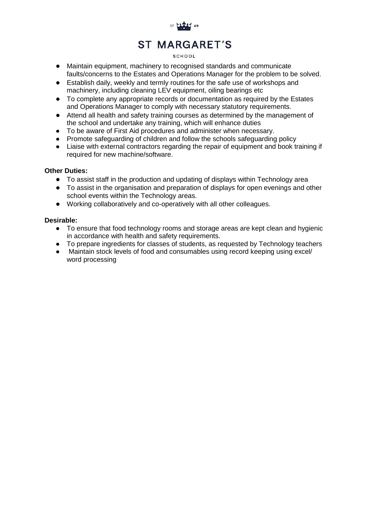

#### SCHOOL

- Maintain equipment, machinery to recognised standards and communicate faults/concerns to the Estates and Operations Manager for the problem to be solved.
- Establish daily, weekly and termly routines for the safe use of workshops and machinery, including cleaning LEV equipment, oiling bearings etc
- To complete any appropriate records or documentation as required by the Estates and Operations Manager to comply with necessary statutory requirements.
- Attend all health and safety training courses as determined by the management of the school and undertake any training, which will enhance duties
- To be aware of First Aid procedures and administer when necessary.
- Promote safeguarding of children and follow the schools safeguarding policy
- Liaise with external contractors regarding the repair of equipment and book training if required for new machine/software.

#### **Other Duties:**

- To assist staff in the production and updating of displays within Technology area
- To assist in the organisation and preparation of displays for open evenings and other school events within the Technology areas.
- Working collaboratively and co-operatively with all other colleagues.

#### **Desirable:**

- To ensure that food technology rooms and storage areas are kept clean and hygienic in accordance with health and safety requirements.
- To prepare ingredients for classes of students, as requested by Technology teachers
- Maintain stock levels of food and consumables using record keeping using excel/ word processing